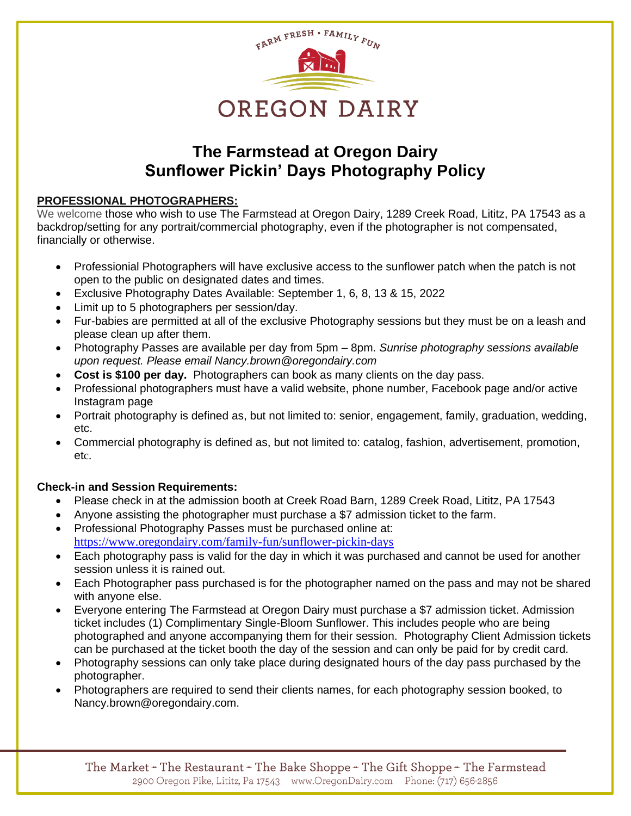

# **The Farmstead at Oregon Dairy Sunflower Pickin' Days Photography Policy**

## **PROFESSIONAL PHOTOGRAPHERS:**

We welcome those who wish to use The Farmstead at Oregon Dairy, 1289 Creek Road, Lititz, PA 17543 as a backdrop/setting for any portrait/commercial photography, even if the photographer is not compensated, financially or otherwise.

- Professionial Photographers will have exclusive access to the sunflower patch when the patch is not open to the public on designated dates and times.
- Exclusive Photography Dates Available: September 1, 6, 8, 13 & 15, 2022
- Limit up to 5 photographers per session/day.
- Fur-babies are permitted at all of the exclusive Photography sessions but they must be on a leash and please clean up after them.
- Photography Passes are available per day from 5pm 8pm. *Sunrise photography sessions available upon request. Please email Nancy.brown@oregondairy.com*
- **Cost is \$100 per day.** Photographers can book as many clients on the day pass.
- Professional photographers must have a valid website, phone number, Facebook page and/or active Instagram page
- Portrait photography is defined as, but not limited to: senior, engagement, family, graduation, wedding, etc.
- Commercial photography is defined as, but not limited to: catalog, fashion, advertisement, promotion, etc.

## **Check-in and Session Requirements:**

- Please check in at the admission booth at Creek Road Barn, 1289 Creek Road, Lititz, PA 17543
- Anyone assisting the photographer must purchase a \$7 admission ticket to the farm.
- Professional Photography Passes must be purchased online at: <https://www.oregondairy.com/family-fun/sunflower-pickin-days>
- Each photography pass is valid for the day in which it was purchased and cannot be used for another session unless it is rained out.
- Each Photographer pass purchased is for the photographer named on the pass and may not be shared with anyone else.
- Everyone entering The Farmstead at Oregon Dairy must purchase a \$7 admission ticket. Admission ticket includes (1) Complimentary Single-Bloom Sunflower. This includes people who are being photographed and anyone accompanying them for their session. Photography Client Admission tickets can be purchased at the ticket booth the day of the session and can only be paid for by credit card.
- Photography sessions can only take place during designated hours of the day pass purchased by the photographer.
- Photographers are required to send their clients names, for each photography session booked, to Nancy.brown@oregondairy.com.

The Market + The Restaurant + The Bake Shoppe + The Gift Shoppe + The Farmstead 2900 Oregon Pike, Lititz, Pa 17543 www.OregonDairy.com Phone: (717) 656-2856